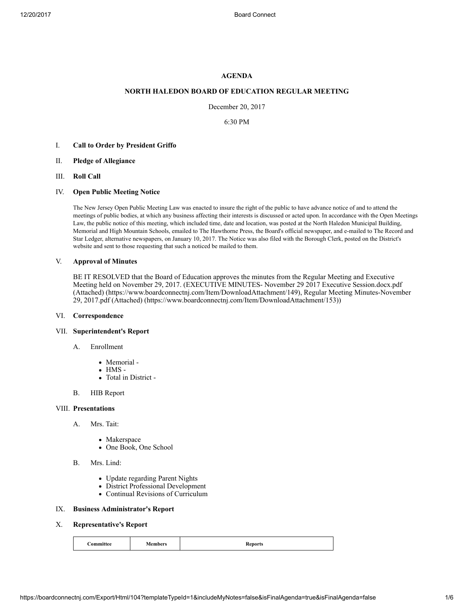# AGENDA

# NORTH HALEDON BOARD OF EDUCATION REGULAR MEETING

December 20, 2017

6:30 PM

- I. Call to Order by President Griffo
- II. Pledge of Allegiance
- III. Roll Call
- IV. Open Public Meeting Notice

The New Jersey Open Public Meeting Law was enacted to insure the right of the public to have advance notice of and to attend the meetings of public bodies, at which any business affecting their interests is discussed or acted upon. In accordance with the Open Meetings Law, the public notice of this meeting, which included time, date and location, was posted at the North Haledon Municipal Building, Memorial and High Mountain Schools, emailed to The Hawthorne Press, the Board's official newspaper, and e-mailed to The Record and Star Ledger, alternative newspapers, on January 10, 2017. The Notice was also filed with the Borough Clerk, posted on the District's website and sent to those requesting that such a noticed be mailed to them.

#### V. Approval of Minutes

BE IT RESOLVED that the Board of Education approves the minutes from the Regular Meeting and Executive Meeting held on November 29, 2017. (EXECUTIVE MINUTES- November 29 2017 Executive Session.docx.pdf (Attached) [\(https://www.boardconnectnj.com/Item/DownloadAttachment/149\),](https://www.boardconnectnj.com/Item/DownloadAttachment/149) Regular Meeting Minutes-November 29, 2017.pdf (Attached) [\(https://www.boardconnectnj.com/Item/DownloadAttachment/153\)\)](https://www.boardconnectnj.com/Item/DownloadAttachment/153)

## VI. Correspondence

# VII. Superintendent's Report

- A. Enrollment
	- Memorial -
	- $\bullet$  HMS -
	- Total in District -
- B. HIB Report

#### VIII. Presentations

- A. Mrs. Tait:
	- Makerspace
	- One Book, One School
- B. Mrs. Lind:
	- Update regarding Parent Nights
	- District Professional Development
	- Continual Revisions of Curriculum

# IX. Business Administrator's Report

#### X. Representative's Report

| <b>Members</b><br><b>Committee</b><br>--------- | <b>Reports</b> |  |
|-------------------------------------------------|----------------|--|
|-------------------------------------------------|----------------|--|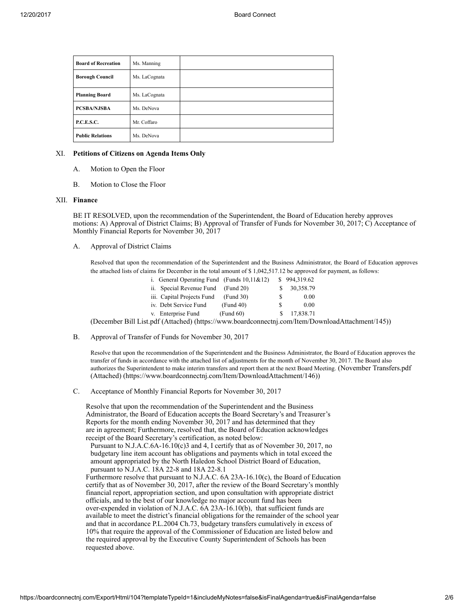| <b>Board of Recreation</b> | Ms. Manning   |  |
|----------------------------|---------------|--|
| <b>Borough Council</b>     | Ms. LaCognata |  |
| <b>Planning Board</b>      | Ms. LaCognata |  |
| <b>PCSBA/NJSBA</b>         | Ms. DeNova    |  |
| P.C.E.S.C.                 | Mr. Coffaro   |  |
| <b>Public Relations</b>    | Ms. DeNova    |  |

## XI. Petitions of Citizens on Agenda Items Only

- A. Motion to Open the Floor
- B. Motion to Close the Floor

#### XII. Finance

BE IT RESOLVED, upon the recommendation of the Superintendent, the Board of Education hereby approves motions: A) Approval of District Claims; B) Approval of Transfer of Funds for November 30, 2017; C) Acceptance of Monthly Financial Reports for November 30, 2017

A. Approval of District Claims

> Resolved that upon the recommendation of the Superintendent and the Business Administrator, the Board of Education approves the attached lists of claims for December in the total amount of \$ 1,042,517.12 be approved for payment, as follows:

| i. General Operating Fund (Funds $10,11\&12$ ) |                           | \$994,319.62 |
|------------------------------------------------|---------------------------|--------------|
| ii. Special Revenue Fund                       | (Fund 20)<br>S.           | 30,358.79    |
| iii. Capital Projects Fund                     | (Fund 30)<br><sup>S</sup> | 0.00         |
| iv. Debt Service Fund<br>(Fund 40)             | S                         | 0.00         |
| (Fund 60)<br>v. Enterprise Fund                | -S                        | 17,838.71    |

(December Bill List.pdf (Attached) [\(https://www.boardconnectnj.com/Item/DownloadAttachment/145\)](https://www.boardconnectnj.com/Item/DownloadAttachment/145))

B. Approval of Transfer of Funds for November 30, 2017

Resolve that upon the recommendation of the Superintendent and the Business Administrator, the Board of Education approves the transfer of funds in accordance with the attached list of adjustments for the month of November 30, 2017. The Board also [authorizes the Superintendent to make interim transfers and report them at the next Board Meeting.](https://www.boardconnectnj.com/Item/DownloadAttachment/146) (November Transfers.pdf (Attached) (https://www.boardconnectnj.com/Item/DownloadAttachment/146))

C. Acceptance of Monthly Financial Reports for November 30, 2017

Resolve that upon the recommendation of the Superintendent and the Business Administrator, the Board of Education accepts the Board Secretary's and Treasurer's Reports for the month ending November 30, 2017 and has determined that they are in agreement; Furthermore, resolved that, the Board of Education acknowledges receipt of the Board Secretary's certification, as noted below:

Pursuant to N.J.A.C.6A-16.10(c)3 and 4, I certify that as of November 30, 2017, no budgetary line item account has obligations and payments which in total exceed the amount appropriated by the North Haledon School District Board of Education, pursuant to N.J.A.C. 18A 22-8 and 18A 22-8.1

Furthermore resolve that pursuant to N.J.A.C. 6A 23A-16.10(c), the Board of Education certify that as of November 30, 2017, after the review of the Board Secretary's monthly financial report, appropriation section, and upon consultation with appropriate district officials, and to the best of our knowledge no major account fund has been over-expended in violation of N.J.A.C. 6A 23A-16.10(b), that sufficient funds are available to meet the district's financial obligations for the remainder of the school year and that in accordance P.L.2004 Ch.73, budgetary transfers cumulatively in excess of 10% that require the approval of the Commissioner of Education are listed below and the required approval by the Executive County Superintendent of Schools has been requested above.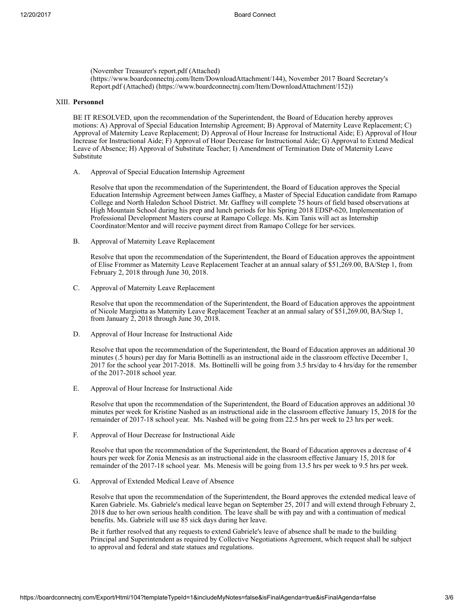(November Treasurer's report.pdf (Attached) [\(https://www.boardconnectnj.com/Item/DownloadAttachment/144\)](https://www.boardconnectnj.com/Item/DownloadAttachment/144), November 2017 Board Secretary's Report.pdf (Attached) [\(https://www.boardconnectnj.com/Item/DownloadAttachment/152\)\)](https://www.boardconnectnj.com/Item/DownloadAttachment/152)

## XIII. Personnel

BE IT RESOLVED, upon the recommendation of the Superintendent, the Board of Education hereby approves motions: A) Approval of Special Education Internship Agreement; B) Approval of Maternity Leave Replacement; C) Approval of Maternity Leave Replacement; D) Approval of Hour Increase for Instructional Aide; E) Approval of Hour Increase for Instructional Aide; F) Approval of Hour Decrease for Instructional Aide; G) Approval to Extend Medical Leave of Absence; H) Approval of Substitute Teacher; I) Amendment of Termination Date of Maternity Leave Substitute

A. Approval of Special Education Internship Agreement

Resolve that upon the recommendation of the Superintendent, the Board of Education approves the Special Education Internship Agreement between James Gaffney, a Master of Special Education candidate from Ramapo College and North Haledon School District. Mr. Gaffney will complete 75 hours of field based observations at High Mountain School during his prep and lunch periods for his Spring 2018 EDSP-620, Implementation of Professional Development Masters course at Ramapo College. Ms. Kim Tanis will act as Internship Coordinator/Mentor and will receive payment direct from Ramapo College for her services.

B. Approval of Maternity Leave Replacement

> Resolve that upon the recommendation of the Superintendent, the Board of Education approves the appointment of Elise Frommer as Maternity Leave Replacement Teacher at an annual salary of \$51,269.00, BA/Step 1, from February 2, 2018 through June 30, 2018.

C. Approval of Maternity Leave Replacement

> Resolve that upon the recommendation of the Superintendent, the Board of Education approves the appointment of Nicole Margiotta as Maternity Leave Replacement Teacher at an annual salary of \$51,269.00, BA/Step 1, from January  $2$ , 2018 through June 30, 2018.

D. Approval of Hour Increase for Instructional Aide

> Resolve that upon the recommendation of the Superintendent, the Board of Education approves an additional 30 minutes (.5 hours) per day for Maria Bottinelli as an instructional aide in the classroom effective December 1, 2017 for the school year 2017-2018. Ms. Bottinelli will be going from 3.5 hrs/day to 4 hrs/day for the remember of the 2017-2018 school year.

E. Approval of Hour Increase for Instructional Aide

> Resolve that upon the recommendation of the Superintendent, the Board of Education approves an additional 30 minutes per week for Kristine Nashed as an instructional aide in the classroom effective January 15, 2018 for the remainder of 2017-18 school year. Ms. Nashed will be going from 22.5 hrs per week to 23 hrs per week.

F. Approval of Hour Decrease for Instructional Aide

> Resolve that upon the recommendation of the Superintendent, the Board of Education approves a decrease of 4 hours per week for Zonia Menesis as an instructional aide in the classroom effective January 15, 2018 for remainder of the 2017-18 school year. Ms. Menesis will be going from 13.5 hrs per week to 9.5 hrs per week.

G. Approval of Extended Medical Leave of Absence

> Resolve that upon the recommendation of the Superintendent, the Board approves the extended medical leave of Karen Gabriele. Ms. Gabriele's medical leave began on September 25, 2017 and will extend through February 2, 2018 due to her own serious health condition. The leave shall be with pay and with a continuation of medical benefits. Ms. Gabriele will use 85 sick days during her leave.

Be it further resolved that any requests to extend Gabriele's leave of absence shall be made to the building Principal and Superintendent as required by Collective Negotiations Agreement, which request shall be subject to approval and federal and state statues and regulations.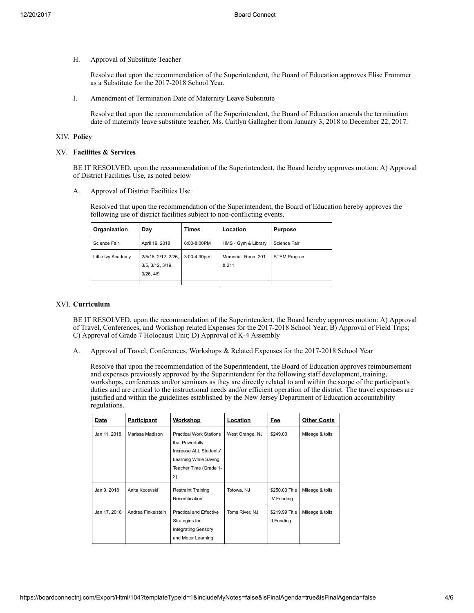H. Approval of Substitute Teacher

> Resolve that upon the recommendation of the Superintendent, the Board of Education approves Elise Frommer as a Substitute for the 2017-2018 School Year.

I. Amendment of Termination Date of Maternity Leave Substitute

Resolve that upon the recommendation of the Superintendent, the Board of Education amends the termination date of maternity leave substitute teacher, Ms. Caitlyn Gallagher from January 3, 2018 to December 22, 2017.

# XIV. Policy

## XV. Facilities & Services

BE IT RESOLVED, upon the recommendation of the Superintendent, the Board hereby approves motion: A) Approval of District Facilities Use, as noted below

A. Approval of District Facilities Use

> Resolved that upon the recommendation of the Superintendent, the Board of Education hereby approves the following use of district facilities subject to non-conflicting events.

| Organization       | <u>Day</u>                                          | Times       | Location                    | <b>Purpose</b>      |
|--------------------|-----------------------------------------------------|-------------|-----------------------------|---------------------|
| Science Fair       | April 19, 2018                                      | 6:00-8:00PM | HMS - Gym & Library         | Science Fair        |
| Little Ivy Academy | 2/5/18, 2/12, 2/26,<br>3/5, 3/12, 3/19,<br>3/26.4/9 | 3:00-4:30pm | Memorial: Room 201<br>& 211 | <b>STEM Program</b> |
|                    |                                                     |             |                             |                     |

# XVI. Curriculum

BE IT RESOLVED, upon the recommendation of the Superintendent, the Board hereby approves motion: A) Approval of Travel, Conferences, and Workshop related Expenses for the 2017-2018 School Year; B) Approval of Field Trips; C) Approval of Grade 7 Holocaust Unit; D) Approval of K-4 Assembly

A. Approval of Travel, Conferences, Workshops & Related Expenses for the 2017-2018 School Year

Resolve that upon the recommendation of the Superintendent, the Board of Education approves reimbursement and expenses previously approved by the Superintendent for the following staff development, training, workshops, conferences and/or seminars as they are directly related to and within the scope of the participant's duties and are critical to the instructional needs and/or efficient operation of the district. The travel expenses are justified and within the guidelines established by the New Jersey Department of Education accountability regulations.

| Date         | <b>Participant</b> | <b>Workshop</b>                                                                                                                      | Location        | <b>Fee</b>                    | <b>Other Costs</b> |
|--------------|--------------------|--------------------------------------------------------------------------------------------------------------------------------------|-----------------|-------------------------------|--------------------|
| Jan 11, 2018 | Marissa Madison    | <b>Practical Work Stations</b><br>that Powerfully<br>Increase ALL Students'<br>Learning While Saving<br>Teacher Time (Grade 1-<br>2) | West Orange, NJ | \$249.00                      | Mileage & tolls    |
| Jan 9, 2018  | Anita Kocevski     | <b>Restraint Training</b><br>Recertification                                                                                         | Totowa, NJ      | \$250.00: Title<br>IV Funding | Mileage & tolls    |
| Jan 17, 2018 | Andrea Finkelstein | <b>Practical and Effective</b><br>Strategies for<br><b>Integrating Sensory</b><br>and Motor Learning                                 | Toms River, NJ  | \$219.99 Title<br>II Funding  | Mileage & tolls    |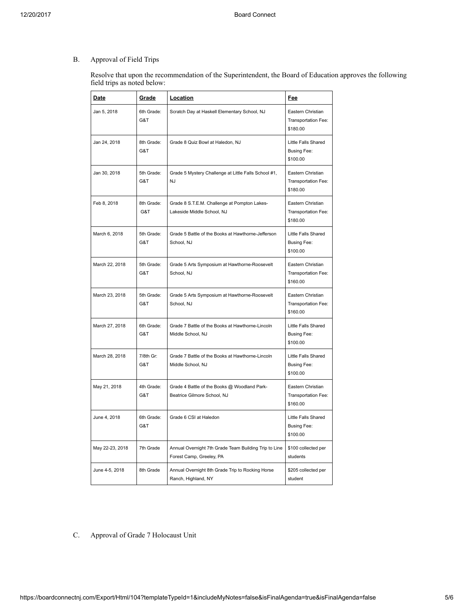#### B. Approval of Field Trips

Resolve that upon the recommendation of the Superintendent, the Board of Education approves the following field trips as noted below:

| <u>Date</u>     | <b>Grade</b>      | Location                                                                          | <u>Fee</u>                                            |
|-----------------|-------------------|-----------------------------------------------------------------------------------|-------------------------------------------------------|
| Jan 5, 2018     | 6th Grade:<br>G&T | Scratch Day at Haskell Elementary School, NJ                                      | Eastern Christian<br>Transportation Fee:<br>\$180.00  |
| Jan 24, 2018    | 8th Grade:<br>G&T | Grade 8 Quiz Bowl at Haledon, NJ                                                  | Little Falls Shared<br>Busing Fee:<br>\$100.00        |
| Jan 30, 2018    | 5th Grade:<br>G&T | Grade 5 Mystery Challenge at Little Falls School #1,<br><b>NJ</b>                 | Eastern Christian<br>Transportation Fee:<br>\$180.00  |
| Feb 8, 2018     | 8th Grade:<br>G&T | Grade 8 S.T.E.M. Challenge at Pompton Lakes-<br>Lakeside Middle School, NJ        | Eastern Christian<br>Transportation Fee:<br>\$180.00  |
| March 6, 2018   | 5th Grade:<br>G&T | Grade 5 Battle of the Books at Hawthorne-Jefferson<br>School, NJ                  | Little Falls Shared<br><b>Busing Fee:</b><br>\$100.00 |
| March 22, 2018  | 5th Grade:<br>G&T | Grade 5 Arts Symposium at Hawthorne-Roosevelt<br>School, NJ                       | Eastern Christian<br>Transportation Fee:<br>\$160.00  |
| March 23, 2018  | 5th Grade:<br>G&T | Grade 5 Arts Symposium at Hawthorne-Roosevelt<br>School, NJ                       | Eastern Christian<br>Transportation Fee:<br>\$160.00  |
| March 27, 2018  | 6th Grade:<br>G&T | Grade 7 Battle of the Books at Hawthorne-Lincoln<br>Middle School, NJ             | Little Falls Shared<br><b>Busing Fee:</b><br>\$100.00 |
| March 28, 2018  | 7/8th Gr:<br>G&T  | Grade 7 Battle of the Books at Hawthorne-Lincoln<br>Middle School, NJ             | Little Falls Shared<br><b>Busing Fee:</b><br>\$100.00 |
| May 21, 2018    | 4th Grade:<br>G&T | Grade 4 Battle of the Books @ Woodland Park-<br>Beatrice Gilmore School, NJ       | Eastern Christian<br>Transportation Fee:<br>\$160.00  |
| June 4, 2018    | 6th Grade:<br>G&T | Grade 6 CSI at Haledon                                                            | Little Falls Shared<br>Busing Fee:<br>\$100.00        |
| May 22-23, 2018 | 7th Grade         | Annual Overnight 7th Grade Team Building Trip to Line<br>Forest Camp, Greeley, PA | \$100 collected per<br>students                       |
| June 4-5, 2018  | 8th Grade         | Annual Overnight 8th Grade Trip to Rocking Horse<br>Ranch, Highland, NY           | \$205 collected per<br>student                        |

C. Approval of Grade 7 Holocaust Unit